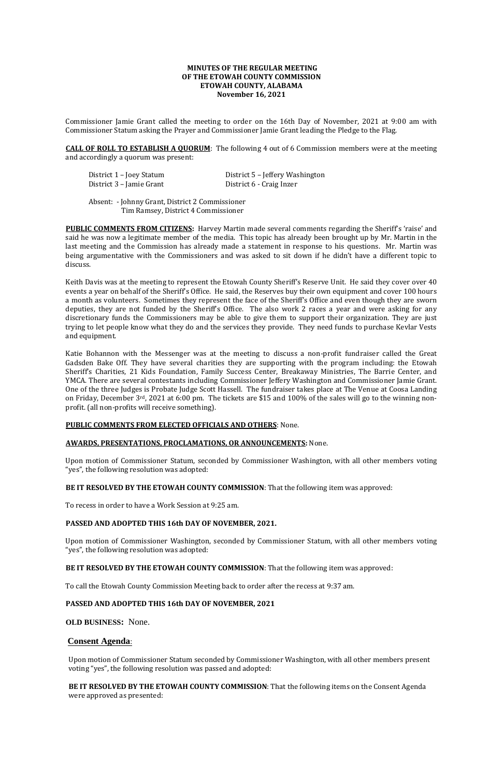## **MINUTES OF THE REGULAR MEETING OF THE ETOWAH COUNTY COMMISSION ETOWAH COUNTY, ALABAMA November 16, 2021**

Commissioner Jamie Grant called the meeting to order on the 16th Day of November, 2021 at 9:00 am with Commissioner Statum asking the Prayer and Commissioner Jamie Grant leading the Pledge to the Flag.

**CALL OF ROLL TO ESTABLISH A QUORUM**: The following 4 out of 6 Commission members were at the meeting and accordingly a quorum was present:

| District 1 – Joey Statum | District 5 - Jeffery Washington |
|--------------------------|---------------------------------|
| District 3 - Jamie Grant | District 6 - Craig Inzer        |

**PUBLIC COMMENTS FROM CITIZENS:** Harvey Martin made several comments regarding the Sheriff's 'raise' and said he was now a legitimate member of the media. This topic has already been brought up by Mr. Martin in the last meeting and the Commission has already made a statement in response to his questions. Mr. Martin was being argumentative with the Commissioners and was asked to sit down if he didn't have a different topic to discuss.

Absent: - Johnny Grant, District 2 Commissioner Tim Ramsey, District 4 Commissioner

Keith Davis was at the meeting to represent the Etowah County Sheriff's Reserve Unit. He said they cover over 40 events a year on behalf of the Sheriff's Office. He said, the Reserves buy their own equipment and cover 100 hours a month as volunteers. Sometimes they represent the face of the Sheriff's Office and even though they are sworn deputies, they are not funded by the Sheriff's Office. The also work 2 races a year and were asking for any discretionary funds the Commissioners may be able to give them to support their organization. They are just trying to let people know what they do and the services they provide. They need funds to purchase Kevlar Vests and equipment.

Katie Bohannon with the Messenger was at the meeting to discuss a non-profit fundraiser called the Great Gadsden Bake Off. They have several charities they are supporting with the program including: the Etowah Sheriff's Charities, 21 Kids Foundation, Family Success Center, Breakaway Ministries, The Barrie Center, and YMCA. There are several contestants including Commissioner Jeffery Washington and Commissioner Jamie Grant. One of the three Judges is Probate Judge Scott Hassell. The fundraiser takes place at The Venue at Coosa Landing on Friday, December 3rd, 2021 at 6:00 pm. The tickets are \$15 and 100% of the sales will go to the winning nonprofit. (all non-profits will receive something).

## **PUBLIC COMMENTS FROM ELECTED OFFICIALS AND OTHERS**: None.

## **AWARDS, PRESENTATIONS, PROCLAMATIONS, OR ANNOUNCEMENTS:** None.

Upon motion of Commissioner Statum, seconded by Commissioner Washington, with all other members voting "yes", the following resolution was adopted:

**BE IT RESOLVED BY THE ETOWAH COUNTY COMMISSION**: That the following item was approved:

To recess in order to have a Work Session at 9:25 am.

## **PASSED AND ADOPTED THIS 16th DAY OF NOVEMBER, 2021.**

Upon motion of Commissioner Washington, seconded by Commissioner Statum, with all other members voting "yes", the following resolution was adopted:

**BE IT RESOLVED BY THE ETOWAH COUNTY COMMISSION**: That the following item was approved:

To call the Etowah County Commission Meeting back to order after the recess at 9:37 am.

## **PASSED AND ADOPTED THIS 16th DAY OF NOVEMBER, 2021**

# **OLD BUSINESS:** None.

# **Consent Agenda**:

Upon motion of Commissioner Statum seconded by Commissioner Washington, with all other members present voting "yes", the following resolution was passed and adopted:

**BE IT RESOLVED BY THE ETOWAH COUNTY COMMISSION**: That the following items on the Consent Agenda were approved as presented: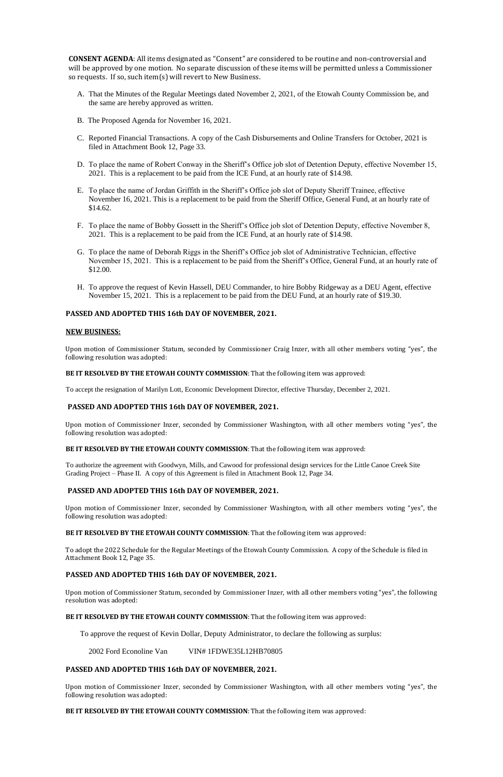**CONSENT AGENDA**: All items designated as "Consent" are considered to be routine and non-controversial and will be approved by one motion. No separate discussion of these items will be permitted unless a Commissioner so requests. If so, such item(s) will revert to New Business.

- A. That the Minutes of the Regular Meetings dated November 2, 2021, of the Etowah County Commission be, and the same are hereby approved as written.
- B. The Proposed Agenda for November 16, 2021.
- C. Reported Financial Transactions. A copy of the Cash Disbursements and Online Transfers for October, 2021 is filed in Attachment Book 12, Page 33.
- D. To place the name of Robert Conway in the Sheriff's Office job slot of Detention Deputy, effective November 15, 2021. This is a replacement to be paid from the ICE Fund, at an hourly rate of \$14.98.
- E. To place the name of Jordan Griffith in the Sheriff's Office job slot of Deputy Sheriff Trainee, effective November 16, 2021. This is a replacement to be paid from the Sheriff Office, General Fund, at an hourly rate of \$14.62.
- F. To place the name of Bobby Gossett in the Sheriff's Office job slot of Detention Deputy, effective November 8, 2021. This is a replacement to be paid from the ICE Fund, at an hourly rate of \$14.98.
- G. To place the name of Deborah Riggs in the Sheriff's Office job slot of Administrative Technician, effective November 15, 2021. This is a replacement to be paid from the Sheriff's Office, General Fund, at an hourly rate of \$12.00.
- H. To approve the request of Kevin Hassell, DEU Commander, to hire Bobby Ridgeway as a DEU Agent, effective November 15, 2021. This is a replacement to be paid from the DEU Fund, at an hourly rate of \$19.30.

### **PASSED AND ADOPTED THIS 16th DAY OF NOVEMBER, 2021.**

### **NEW BUSINESS:**

Upon motion of Commissioner Statum, seconded by Commissioner Craig Inzer, with all other members voting "yes", the following resolution was adopted:

#### **BE IT RESOLVED BY THE ETOWAH COUNTY COMMISSION**: That the following item was approved:

To accept the resignation of Marilyn Lott, Economic Development Director, effective Thursday, December 2, 2021.

### **PASSED AND ADOPTED THIS 16th DAY OF NOVEMBER, 2021.**

Upon motion of Commissioner Inzer, seconded by Commissioner Washington, with all other members voting "yes", the following resolution was adopted:

### **BE IT RESOLVED BY THE ETOWAH COUNTY COMMISSION**: That the following item was approved:

To authorize the agreement with Goodwyn, Mills, and Cawood for professional design services for the Little Canoe Creek Site Grading Project – Phase II. A copy of this Agreement is filed in Attachment Book 12, Page 34.

### **PASSED AND ADOPTED THIS 16th DAY OF NOVEMBER, 2021.**

Upon motion of Commissioner Inzer, seconded by Commissioner Washington, with all other members voting "yes", the following resolution was adopted:

#### **BE IT RESOLVED BY THE ETOWAH COUNTY COMMISSION**: That the following item was approved:

To adopt the 2022 Schedule for the Regular Meetings of the Etowah County Commission. A copy of the Schedule is filed in Attachment Book 12, Page 35.

### **PASSED AND ADOPTED THIS 16th DAY OF NOVEMBER, 2021.**

Upon motion of Commissioner Statum, seconded by Commissioner Inzer, with all other members voting "yes", the following resolution was adopted:

### **BE IT RESOLVED BY THE ETOWAH COUNTY COMMISSION**: That the following item was approved:

To approve the request of Kevin Dollar, Deputy Administrator, to declare the following as surplus:

2002 Ford Econoline Van VIN# 1FDWE35L12HB70805

## **PASSED AND ADOPTED THIS 16th DAY OF NOVEMBER, 2021.**

Upon motion of Commissioner Inzer, seconded by Commissioner Washington, with all other members voting "yes", the following resolution was adopted:

**BE IT RESOLVED BY THE ETOWAH COUNTY COMMISSION**: That the following item was approved: